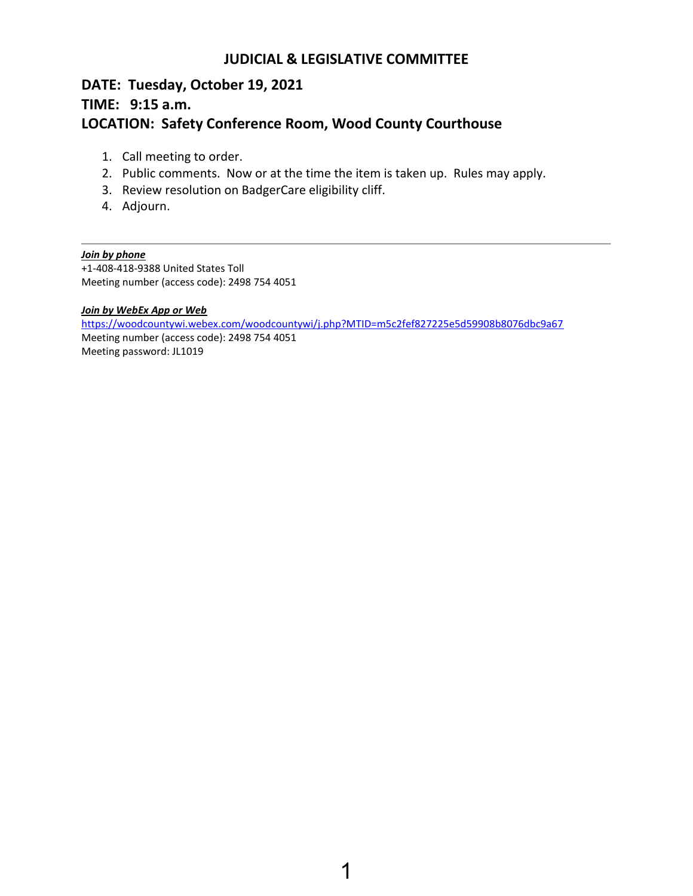## **JUDICIAL & LEGISLATIVE COMMITTEE**

# **DATE: Tuesday, October 19, 2021 TIME: 9:15 a.m. LOCATION: Safety Conference Room, Wood County Courthouse**

- 1. Call meeting to order.
- 2. Public comments. Now or at the time the item is taken up. Rules may apply.
- 3. Review resolution on BadgerCare eligibility cliff.
- 4. Adjourn.

### *Join by phone*

+1-408-418-9388 United States Toll Meeting number (access code): 2498 754 4051

#### *Join by WebEx App or Web*

<https://woodcountywi.webex.com/woodcountywi/j.php?MTID=m5c2fef827225e5d59908b8076dbc9a67> Meeting number (access code): 2498 754 4051 Meeting password: JL1019